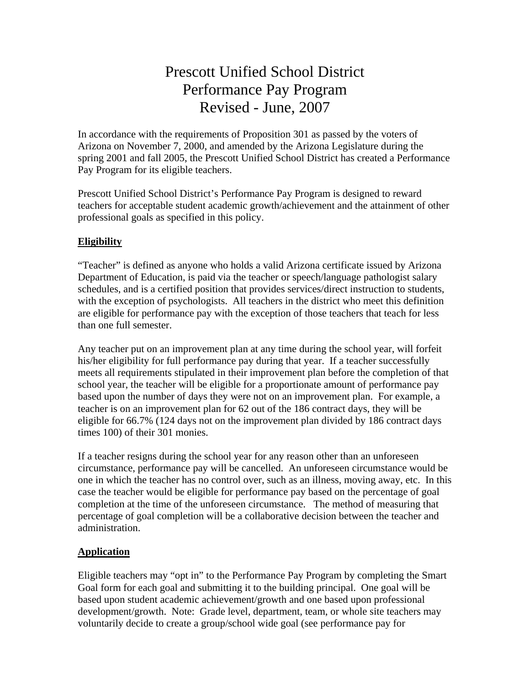# Prescott Unified School District Performance Pay Program Revised - June, 2007

In accordance with the requirements of Proposition 301 as passed by the voters of Arizona on November 7, 2000, and amended by the Arizona Legislature during the spring 2001 and fall 2005, the Prescott Unified School District has created a Performance Pay Program for its eligible teachers.

Prescott Unified School District's Performance Pay Program is designed to reward teachers for acceptable student academic growth/achievement and the attainment of other professional goals as specified in this policy.

## **Eligibility**

"Teacher" is defined as anyone who holds a valid Arizona certificate issued by Arizona Department of Education, is paid via the teacher or speech/language pathologist salary schedules, and is a certified position that provides services/direct instruction to students, with the exception of psychologists. All teachers in the district who meet this definition are eligible for performance pay with the exception of those teachers that teach for less than one full semester.

Any teacher put on an improvement plan at any time during the school year, will forfeit his/her eligibility for full performance pay during that year. If a teacher successfully meets all requirements stipulated in their improvement plan before the completion of that school year, the teacher will be eligible for a proportionate amount of performance pay based upon the number of days they were not on an improvement plan. For example, a teacher is on an improvement plan for 62 out of the 186 contract days, they will be eligible for 66.7% (124 days not on the improvement plan divided by 186 contract days times 100) of their 301 monies.

If a teacher resigns during the school year for any reason other than an unforeseen circumstance, performance pay will be cancelled. An unforeseen circumstance would be one in which the teacher has no control over, such as an illness, moving away, etc. In this case the teacher would be eligible for performance pay based on the percentage of goal completion at the time of the unforeseen circumstance. The method of measuring that percentage of goal completion will be a collaborative decision between the teacher and administration.

## **Application**

Eligible teachers may "opt in" to the Performance Pay Program by completing the Smart Goal form for each goal and submitting it to the building principal. One goal will be based upon student academic achievement/growth and one based upon professional development/growth. Note: Grade level, department, team, or whole site teachers may voluntarily decide to create a group/school wide goal (see performance pay for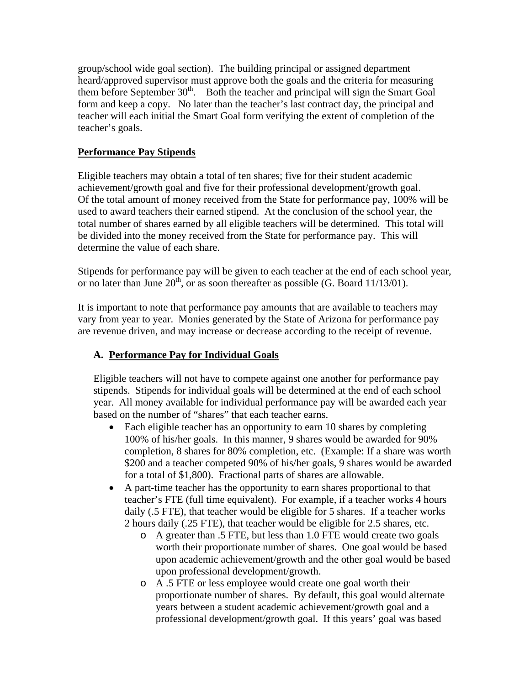group/school wide goal section). The building principal or assigned department heard/approved supervisor must approve both the goals and the criteria for measuring them before September  $30<sup>th</sup>$ . Both the teacher and principal will sign the Smart Goal form and keep a copy. No later than the teacher's last contract day, the principal and teacher will each initial the Smart Goal form verifying the extent of completion of the teacher's goals.

# **Performance Pay Stipends**

Eligible teachers may obtain a total of ten shares; five for their student academic achievement/growth goal and five for their professional development/growth goal. Of the total amount of money received from the State for performance pay, 100% will be used to award teachers their earned stipend. At the conclusion of the school year, the total number of shares earned by all eligible teachers will be determined. This total will be divided into the money received from the State for performance pay. This will determine the value of each share.

Stipends for performance pay will be given to each teacher at the end of each school year, or no later than June  $20^{th}$ , or as soon thereafter as possible (G. Board 11/13/01).

It is important to note that performance pay amounts that are available to teachers may vary from year to year. Monies generated by the State of Arizona for performance pay are revenue driven, and may increase or decrease according to the receipt of revenue.

# **A. Performance Pay for Individual Goals**

Eligible teachers will not have to compete against one another for performance pay stipends. Stipends for individual goals will be determined at the end of each school year. All money available for individual performance pay will be awarded each year based on the number of "shares" that each teacher earns.

- Each eligible teacher has an opportunity to earn 10 shares by completing 100% of his/her goals. In this manner, 9 shares would be awarded for 90% completion, 8 shares for 80% completion, etc. (Example: If a share was worth \$200 and a teacher competed 90% of his/her goals, 9 shares would be awarded for a total of \$1,800). Fractional parts of shares are allowable.
- A part-time teacher has the opportunity to earn shares proportional to that teacher's FTE (full time equivalent). For example, if a teacher works 4 hours daily (.5 FTE), that teacher would be eligible for 5 shares. If a teacher works 2 hours daily (.25 FTE), that teacher would be eligible for 2.5 shares, etc.
	- o A greater than .5 FTE, but less than 1.0 FTE would create two goals worth their proportionate number of shares. One goal would be based upon academic achievement/growth and the other goal would be based upon professional development/growth.
	- o A .5 FTE or less employee would create one goal worth their proportionate number of shares. By default, this goal would alternate years between a student academic achievement/growth goal and a professional development/growth goal. If this years' goal was based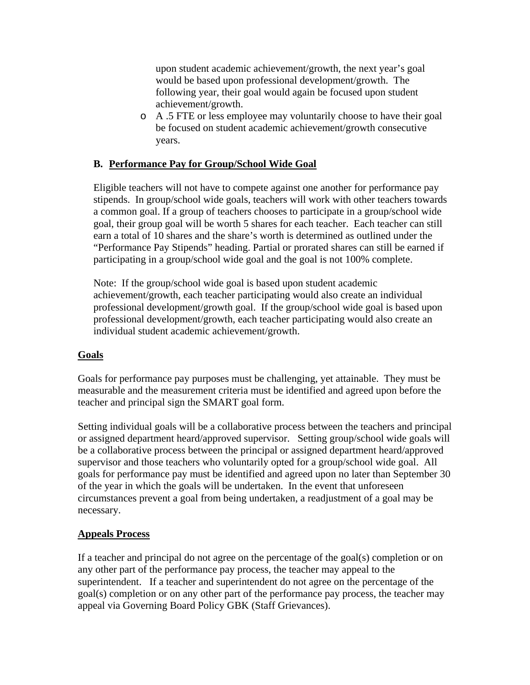upon student academic achievement/growth, the next year's goal would be based upon professional development/growth. The following year, their goal would again be focused upon student achievement/growth.

o A .5 FTE or less employee may voluntarily choose to have their goal be focused on student academic achievement/growth consecutive years.

### **B. Performance Pay for Group/School Wide Goal**

Eligible teachers will not have to compete against one another for performance pay stipends. In group/school wide goals, teachers will work with other teachers towards a common goal. If a group of teachers chooses to participate in a group/school wide goal, their group goal will be worth 5 shares for each teacher. Each teacher can still earn a total of 10 shares and the share's worth is determined as outlined under the "Performance Pay Stipends" heading. Partial or prorated shares can still be earned if participating in a group/school wide goal and the goal is not 100% complete.

Note: If the group/school wide goal is based upon student academic achievement/growth, each teacher participating would also create an individual professional development/growth goal. If the group/school wide goal is based upon professional development/growth, each teacher participating would also create an individual student academic achievement/growth.

#### **Goals**

Goals for performance pay purposes must be challenging, yet attainable. They must be measurable and the measurement criteria must be identified and agreed upon before the teacher and principal sign the SMART goal form.

Setting individual goals will be a collaborative process between the teachers and principal or assigned department heard/approved supervisor. Setting group/school wide goals will be a collaborative process between the principal or assigned department heard/approved supervisor and those teachers who voluntarily opted for a group/school wide goal. All goals for performance pay must be identified and agreed upon no later than September 30 of the year in which the goals will be undertaken. In the event that unforeseen circumstances prevent a goal from being undertaken, a readjustment of a goal may be necessary.

#### **Appeals Process**

If a teacher and principal do not agree on the percentage of the goal(s) completion or on any other part of the performance pay process, the teacher may appeal to the superintendent. If a teacher and superintendent do not agree on the percentage of the goal(s) completion or on any other part of the performance pay process, the teacher may appeal via Governing Board Policy GBK (Staff Grievances).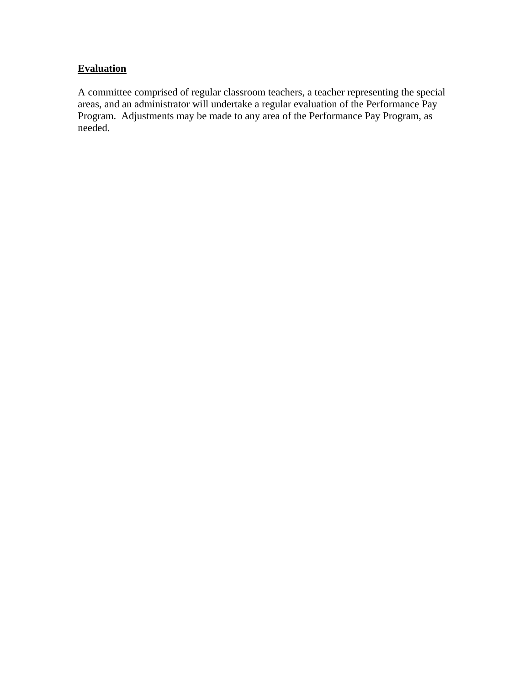# **Evaluation**

A committee comprised of regular classroom teachers, a teacher representing the special areas, and an administrator will undertake a regular evaluation of the Performance Pay Program. Adjustments may be made to any area of the Performance Pay Program, as needed.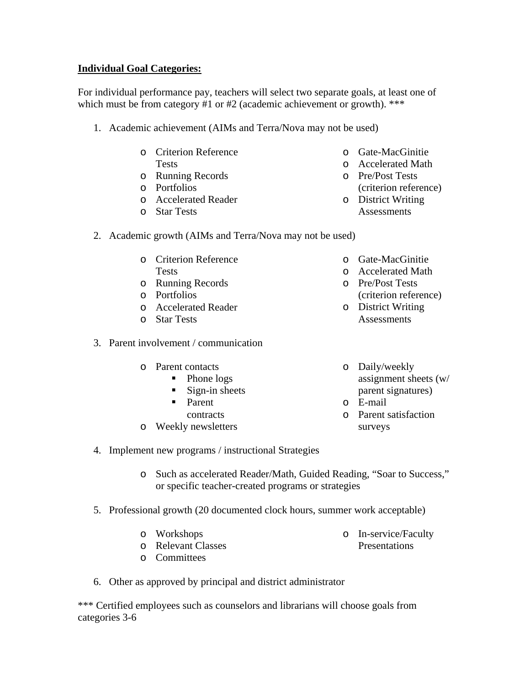### **Individual Goal Categories:**

For individual performance pay, teachers will select two separate goals, at least one of which must be from category #1 or #2 (academic achievement or growth). \*\*\*

- 1. Academic achievement (AIMs and Terra/Nova may not be used)
	- o Criterion Reference **Tests**
	- o Running Records
	- o Portfolios
	- o Accelerated Reader
	- o Star Tests
- 2. Academic growth (AIMs and Terra/Nova may not be used)
	- o Criterion Reference Tests
	- o Running Records
	- o Portfolios
	- o Accelerated Reader
	- o Star Tests
- 3. Parent involvement / communication
	- o Parent contacts
		- Phone logs
		- $\blacksquare$  Sign-in sheets
		- **Parent**
		- contracts
	- o Weekly newsletters
- o Gate-MacGinitie
- o Accelerated Math
- o Pre/Post Tests
	- (criterion reference)
- o District Writing **Assessments**
- o Gate-MacGinitie
- o Accelerated Math
- o Pre/Post Tests (criterion reference)
- o District Writing Assessments
- o Daily/weekly assignment sheets (w/ parent signatures)
- o E-mail
- o Parent satisfaction surveys
- 4. Implement new programs / instructional Strategies
	- o Such as accelerated Reader/Math, Guided Reading, "Soar to Success," or specific teacher-created programs or strategies
- 5. Professional growth (20 documented clock hours, summer work acceptable)
	- o Workshops o Relevant Classes

o In-service/Faculty Presentations

- o Committees
- 6. Other as approved by principal and district administrator

\*\*\* Certified employees such as counselors and librarians will choose goals from categories 3-6